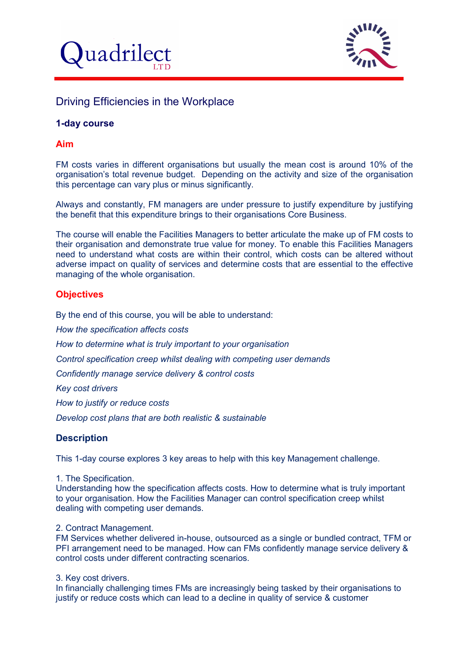



# Driving Efficiencies in the Workplace

# **1-day course**

## **Aim**

FM costs varies in different organisations but usually the mean cost is around 10% of the organisation's total revenue budget. Depending on the activity and size of the organisation this percentage can vary plus or minus significantly.

Always and constantly, FM managers are under pressure to justify expenditure by justifying the benefit that this expenditure brings to their organisations Core Business.

The course will enable the Facilities Managers to better articulate the make up of FM costs to their organisation and demonstrate true value for money. To enable this Facilities Managers need to understand what costs are within their control, which costs can be altered without adverse impact on quality of services and determine costs that are essential to the effective managing of the whole organisation.

# **Objectives**

By the end of this course, you will be able to understand:

*How the specification affects costs*

*How to determine what is truly important to your organisation*

*Control specification creep whilst dealing with competing user demands*

*Confidently manage service delivery & control costs*

*Key cost drivers*

*How to justify or reduce costs*

*Develop cost plans that are both realistic & sustainable*

# **Description**

This 1-day course explores 3 key areas to help with this key Management challenge.

1. The Specification.

Understanding how the specification affects costs. How to determine what is truly important to your organisation. How the Facilities Manager can control specification creep whilst dealing with competing user demands.

### 2. Contract Management.

FM Services whether delivered in-house, outsourced as a single or bundled contract, TFM or PFI arrangement need to be managed. How can FMs confidently manage service delivery & control costs under different contracting scenarios.

3. Key cost drivers.

In financially challenging times FMs are increasingly being tasked by their organisations to justify or reduce costs which can lead to a decline in quality of service & customer